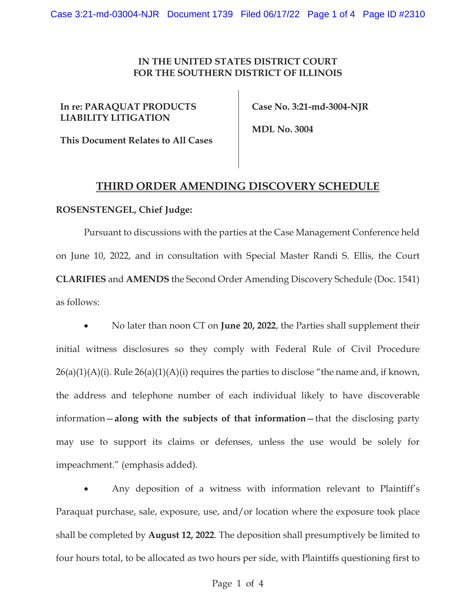## **IN THE UNITED STATES DISTRICT COURT FOR THE SOUTHERN DISTRICT OF ILLINOIS**

**In re: PARAQUAT PRODUCTS LIABILITY LITIGATION** 

 **Case No. 3:21-md-3004-NJR** 

 **MDL No. 3004** 

## **This Document Relates to All Cases**

## **THIRD ORDER AMENDING DISCOVERY SCHEDULE**

## **ROSENSTENGEL, Chief Judge:**

Pursuant to discussions with the parties at the Case Management Conference held on June 10, 2022, and in consultation with Special Master Randi S. Ellis, the Court **CLARIFIES** and **AMENDS** the Second Order Amending Discovery Schedule (Doc. 1541) as follows:

x No later than noon CT on **June 20, 2022**, the Parties shall supplement their initial witness disclosures so they comply with Federal Rule of Civil Procedure  $26(a)(1)(A)(i)$ . Rule  $26(a)(1)(A)(i)$  requires the parties to disclose "the name and, if known, the address and telephone number of each individual likely to have discoverable information—**along with the subjects of that information**—that the disclosing party may use to support its claims or defenses, unless the use would be solely for impeachment." (emphasis added).

Any deposition of a witness with information relevant to Plaintiff's Paraquat purchase, sale, exposure, use, and/or location where the exposure took place shall be completed by **August 12, 2022**. The deposition shall presumptively be limited to four hours total, to be allocated as two hours per side, with Plaintiffs questioning first to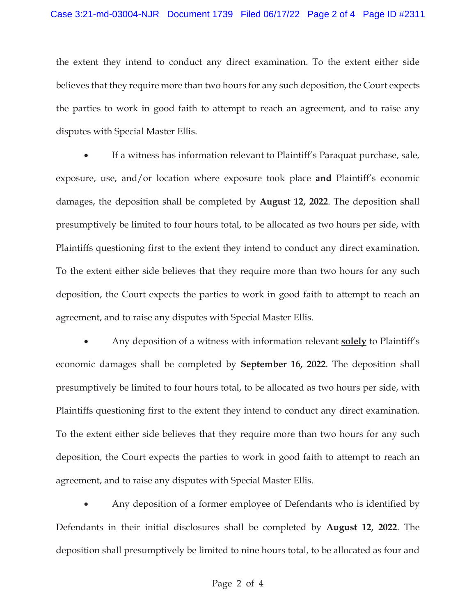the extent they intend to conduct any direct examination. To the extent either side believes that they require more than two hours for any such deposition, the Court expects the parties to work in good faith to attempt to reach an agreement, and to raise any disputes with Special Master Ellis.

If a witness has information relevant to Plaintiff's Paraquat purchase, sale, exposure, use, and/or location where exposure took place **and** Plaintiff's economic damages, the deposition shall be completed by **August 12, 2022**. The deposition shall presumptively be limited to four hours total, to be allocated as two hours per side, with Plaintiffs questioning first to the extent they intend to conduct any direct examination. To the extent either side believes that they require more than two hours for any such deposition, the Court expects the parties to work in good faith to attempt to reach an agreement, and to raise any disputes with Special Master Ellis.

x Any deposition of a witness with information relevant **solely** to Plaintiff's economic damages shall be completed by **September 16, 2022**. The deposition shall presumptively be limited to four hours total, to be allocated as two hours per side, with Plaintiffs questioning first to the extent they intend to conduct any direct examination. To the extent either side believes that they require more than two hours for any such deposition, the Court expects the parties to work in good faith to attempt to reach an agreement, and to raise any disputes with Special Master Ellis.

Any deposition of a former employee of Defendants who is identified by Defendants in their initial disclosures shall be completed by **August 12, 2022**. The deposition shall presumptively be limited to nine hours total, to be allocated as four and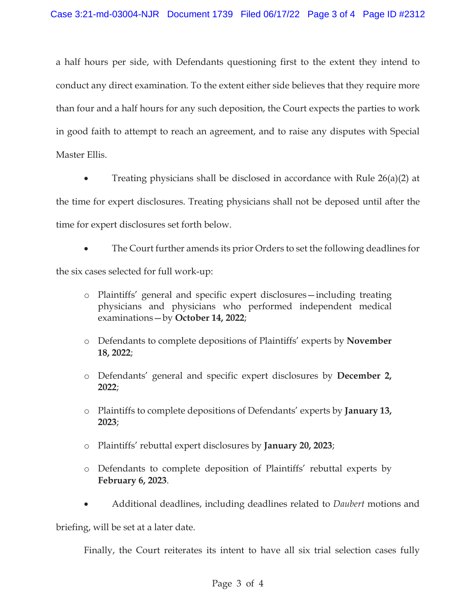a half hours per side, with Defendants questioning first to the extent they intend to conduct any direct examination. To the extent either side believes that they require more than four and a half hours for any such deposition, the Court expects the parties to work in good faith to attempt to reach an agreement, and to raise any disputes with Special Master Ellis.

Treating physicians shall be disclosed in accordance with Rule  $26(a)(2)$  at the time for expert disclosures. Treating physicians shall not be deposed until after the time for expert disclosures set forth below.

The Court further amends its prior Orders to set the following deadlines for

the six cases selected for full work-up:

- o Plaintiffs' general and specific expert disclosures—including treating physicians and physicians who performed independent medical examinations—by **October 14, 2022**;
- o Defendants to complete depositions of Plaintiffs' experts by **November 18, 2022**;
- o Defendants' general and specific expert disclosures by **December 2, 2022**;
- o Plaintiffs to complete depositions of Defendants' experts by **January 13, 2023**;
- o Plaintiffs' rebuttal expert disclosures by **January 20, 2023**;
- o Defendants to complete deposition of Plaintiffs' rebuttal experts by **February 6, 2023**.
- x Additional deadlines, including deadlines related to *Daubert* motions and

briefing, will be set at a later date.

Finally, the Court reiterates its intent to have all six trial selection cases fully